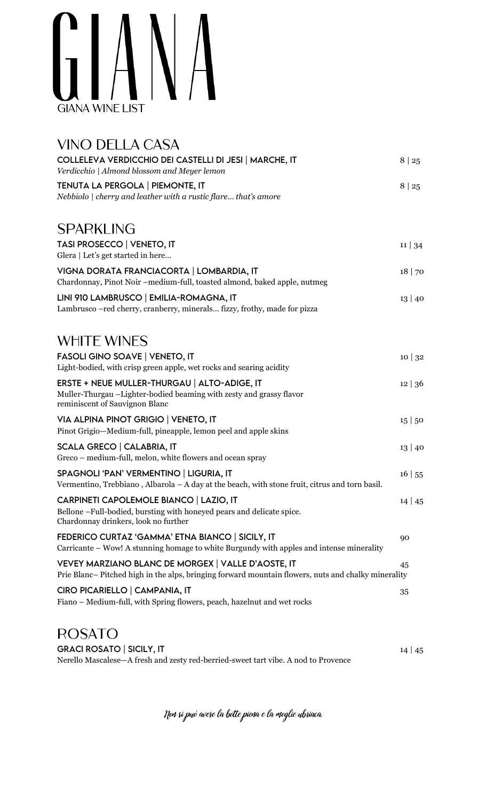## GIANA **GIANA WINE LIST**

| <b>VINO DELLA CASA</b>                                                                                                                                          |              |
|-----------------------------------------------------------------------------------------------------------------------------------------------------------------|--------------|
| COLLELEVA VERDICCHIO DEI CASTELLI DI JESI   MARCHE, IT<br>Verdicchio   Almond blossom and Meyer lemon                                                           | 8 25         |
| TENUTA LA PERGOLA   PIEMONTE, IT<br>Nebbiolo   cherry and leather with a rustic flare that's amore                                                              | $8 \mid 25$  |
| <b>SPARKLING</b>                                                                                                                                                |              |
| TASI PROSECCO   VENETO, IT<br>Glera   Let's get started in here                                                                                                 | $11 \mid 34$ |
| VIGNA DORATA FRANCIACORTA   LOMBARDIA, IT<br>Chardonnay, Pinot Noir -medium-full, toasted almond, baked apple, nutmeg                                           | 18   70      |
| LINI 910 LAMBRUSCO   EMILIA-ROMAGNA, IT<br>Lambrusco - red cherry, cranberry, minerals fizzy, frothy, made for pizza                                            | $13 \mid 40$ |
| <b>WHITE WINES</b>                                                                                                                                              |              |
| <b>FASOLI GINO SOAVE   VENETO, IT</b><br>Light-bodied, with crisp green apple, wet rocks and searing acidity                                                    | 10 32        |
| ERSTE + NEUE MULLER-THURGAU   ALTO-ADIGE, IT<br>Muller-Thurgau -Lighter-bodied beaming with zesty and grassy flavor<br>reminiscent of Sauvignon Blanc           | 12 36        |
| VIA ALPINA PINOT GRIGIO   VENETO, IT<br>Pinot Grigio-Medium-full, pineapple, lemon peel and apple skins                                                         | 15 50        |
| <b>SCALA GRECO   CALABRIA, IT</b><br>Greco - medium-full, melon, white flowers and ocean spray                                                                  | 13 40        |
| SPAGNOLI 'PAN' VERMENTINO   LIGURIA, IT<br>Vermentino, Trebbiano, Albarola $-A$ day at the beach, with stone fruit, citrus and torn basil.                      | 16   55      |
| <b>CARPINETI CAPOLEMOLE BIANCO   LAZIO, IT</b><br>Bellone -Full-bodied, bursting with honeyed pears and delicate spice.<br>Chardonnay drinkers, look no further | $14 \mid 45$ |
| FEDERICO CURTAZ 'GAMMA' ETNA BIANCO   SICILY, IT<br>Carricante – Wow! A stunning homage to white Burgundy with apples and intense minerality                    | 90           |
| VEVEY MARZIANO BLANC DE MORGEX   VALLE D'AOSTE, IT<br>Prie Blanc– Pitched high in the alps, bringing forward mountain flowers, nuts and chalky minerality       | 45           |
| CIRO PICARIELLO   CAMPANIA, IT<br>Fiano - Medium-full, with Spring flowers, peach, hazelnut and wet rocks                                                       | 35           |
| <b>ROSATO</b>                                                                                                                                                   |              |
| <b>GRACI ROSATO   SICILY, IT</b><br>Nerello Mascalese-A fresh and zesty red-berried-sweet tart vibe. A nod to Provence                                          | $14 \mid 45$ |

Non si può avere la botte piona e la moglie ubriaca.